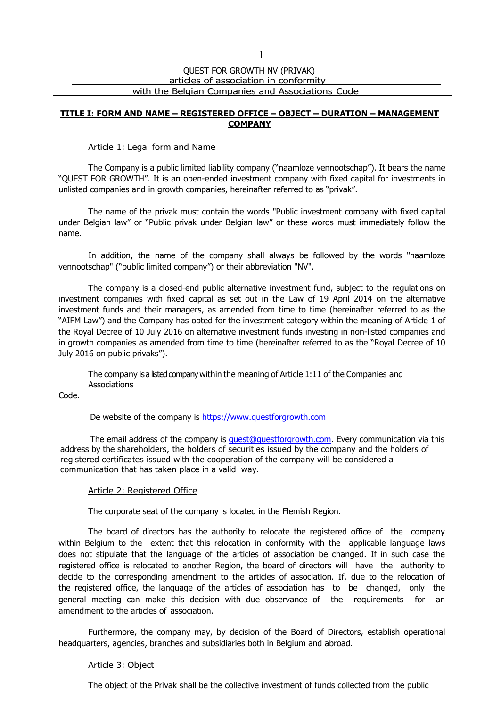# QUEST FOR GROWTH NV (PRIVAK) articles of association in conformity with the Belgian Companies and Associations Code

## **TITLE I: FORM AND NAME – REGISTERED OFFICE – OBJECT – DURATION – MANAGEMENT COMPANY**

### Article 1: Legal form and Name

The Company is a public limited liability company ("naamloze vennootschap"). It bears the name "QUEST FOR GROWTH". It is an open-ended investment company with fixed capital for investments in unlisted companies and in growth companies, hereinafter referred to as "privak".

The name of the privak must contain the words "Public investment company with fixed capital under Belgian law" or "Public privak under Belgian law" or these words must immediately follow the name.

In addition, the name of the company shall always be followed by the words "naamloze vennootschap" ("public limited company") or their abbreviation "NV".

The company is a closed-end public alternative investment fund, subject to the regulations on investment companies with fixed capital as set out in the Law of 19 April 2014 on the alternative investment funds and their managers, as amended from time to time (hereinafter referred to as the "AIFM Law") and the Company has opted for the investment category within the meaning of Article 1 of the Royal Decree of 10 July 2016 on alternative investment funds investing in non-listed companies and in growth companies as amended from time to time (hereinafter referred to as the "Royal Decree of 10 July 2016 on public privaks").

The company isa listed company within the meaning of Article  $1:11$  of the Companies and **Associations** 

Code.

De website of the company is [https://www.questforgrowth.com](https://www.questforgrowth.com/)

The email address of the company is [quest@questforgrowth.com.](mailto:quest@questforgrowth.com) Every communication via this address by the shareholders, the holders of securities issued by the company and the holders of registered certificates issued with the cooperation of the company will be considered a communication that has taken place in a valid way.

### Article 2: Registered Office

The corporate seat of the company is located in the Flemish Region.

The board of directors has the authority to relocate the registered office of the company within Belgium to the extent that this relocation in conformity with the applicable language laws does not stipulate that the language of the articles of association be changed. If in such case the registered office is relocated to another Region, the board of directors will have the authority to decide to the corresponding amendment to the articles of association. If, due to the relocation of the registered office, the language of the articles of association has to be changed, only the general meeting can make this decision with due observance of the requirements for an amendment to the articles of association.

Furthermore, the company may, by decision of the Board of Directors, establish operational headquarters, agencies, branches and subsidiaries both in Belgium and abroad.

### Article 3: Object

The object of the Privak shall be the collective investment of funds collected from the public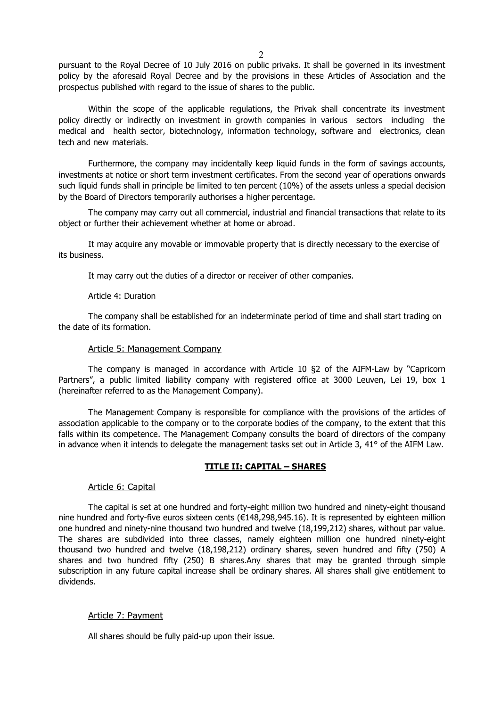pursuant to the Royal Decree of 10 July 2016 on public privaks. It shall be governed in its investment policy by the aforesaid Royal Decree and by the provisions in these Articles of Association and the prospectus published with regard to the issue of shares to the public.

Within the scope of the applicable regulations, the Privak shall concentrate its investment policy directly or indirectly on investment in growth companies in various sectors including the medical and health sector, biotechnology, information technology, software and electronics, clean tech and new materials.

Furthermore, the company may incidentally keep liquid funds in the form of savings accounts, investments at notice or short term investment certificates. From the second year of operations onwards such liquid funds shall in principle be limited to ten percent (10%) of the assets unless a special decision by the Board of Directors temporarily authorises a higher percentage.

The company may carry out all commercial, industrial and financial transactions that relate to its object or further their achievement whether at home or abroad.

It may acquire any movable or immovable property that is directly necessary to the exercise of its business.

It may carry out the duties of a director or receiver of other companies.

### Article 4: Duration

The company shall be established for an indeterminate period of time and shall start trading on the date of its formation.

#### Article 5: Management Company

The company is managed in accordance with Article 10 §2 of the AIFM-Law by "Capricorn Partners", a public limited liability company with registered office at 3000 Leuven, Lei 19, box 1 (hereinafter referred to as the Management Company).

The Management Company is responsible for compliance with the provisions of the articles of association applicable to the company or to the corporate bodies of the company, to the extent that this falls within its competence. The Management Company consults the board of directors of the company in advance when it intends to delegate the management tasks set out in Article 3, 41° of the AIFM Law.

### **TITLE II: CAPITAL – SHARES**

### Article 6: Capital

The capital is set at one hundred and forty-eight million two hundred and ninety-eight thousand nine hundred and forty-five euros sixteen cents (€148,298,945.16). It is represented by eighteen million one hundred and ninety-nine thousand two hundred and twelve (18,199,212) shares, without par value. The shares are subdivided into three classes, namely eighteen million one hundred ninety-eight thousand two hundred and twelve (18,198,212) ordinary shares, seven hundred and fifty (750) A shares and two hundred fifty (250) B shares.Any shares that may be granted through simple subscription in any future capital increase shall be ordinary shares. All shares shall give entitlement to dividends.

### Article 7: Payment

All shares should be fully paid-up upon their issue.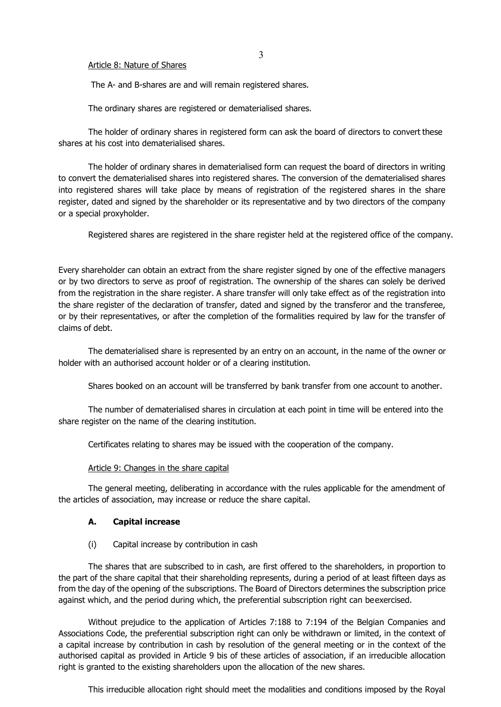### Article 8: Nature of Shares

The A- and B-shares are and will remain registered shares.

The ordinary shares are registered or dematerialised shares.

The holder of ordinary shares in registered form can ask the board of directors to convert these shares at his cost into dematerialised shares.

The holder of ordinary shares in dematerialised form can request the board of directors in writing to convert the dematerialised shares into registered shares. The conversion of the dematerialised shares into registered shares will take place by means of registration of the registered shares in the share register, dated and signed by the shareholder or its representative and by two directors of the company or a special proxyholder.

Registered shares are registered in the share register held at the registered office of the company.

Every shareholder can obtain an extract from the share register signed by one of the effective managers or by two directors to serve as proof of registration. The ownership of the shares can solely be derived from the registration in the share register. A share transfer will only take effect as of the registration into the share register of the declaration of transfer, dated and signed by the transferor and the transferee, or by their representatives, or after the completion of the formalities required by law for the transfer of claims of debt.

The dematerialised share is represented by an entry on an account, in the name of the owner or holder with an authorised account holder or of a clearing institution.

Shares booked on an account will be transferred by bank transfer from one account to another.

The number of dematerialised shares in circulation at each point in time will be entered into the share register on the name of the clearing institution.

Certificates relating to shares may be issued with the cooperation of the company.

### Article 9: Changes in the share capital

The general meeting, deliberating in accordance with the rules applicable for the amendment of the articles of association, may increase or reduce the share capital.

### **A. Capital increase**

### (i) Capital increase by contribution in cash

The shares that are subscribed to in cash, are first offered to the shareholders, in proportion to the part of the share capital that their shareholding represents, during a period of at least fifteen days as from the day of the opening of the subscriptions. The Board of Directors determines the subscription price against which, and the period during which, the preferential subscription right can beexercised.

Without prejudice to the application of Articles 7:188 to 7:194 of the Belgian Companies and Associations Code, the preferential subscription right can only be withdrawn or limited, in the context of a capital increase by contribution in cash by resolution of the general meeting or in the context of the authorised capital as provided in Article 9 bis of these articles of association, if an irreducible allocation right is granted to the existing shareholders upon the allocation of the new shares.

This irreducible allocation right should meet the modalities and conditions imposed by the Royal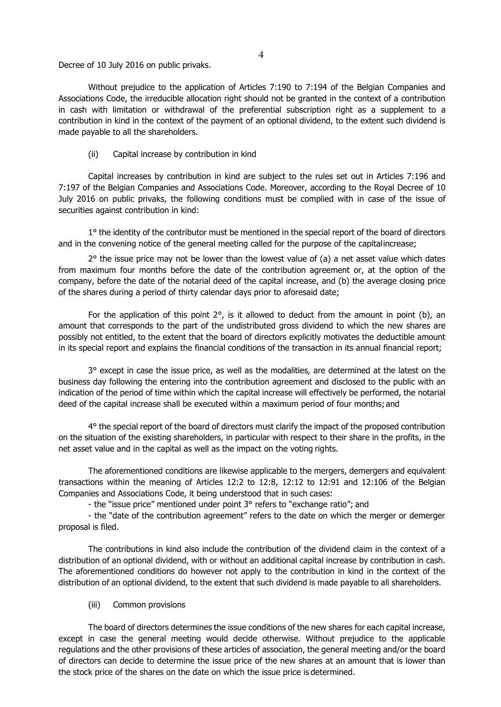Decree of 10 July 2016 on public privaks.

Without prejudice to the application of Articles 7:190 to 7:194 of the Belgian Companies and Associations Code, the irreducible allocation right should not be granted in the context of a contribution in cash with limitation or withdrawal of the preferential subscription right as a supplement to a contribution in kind in the context of the payment of an optional dividend, to the extent such dividend is made payable to all the shareholders.

(ii) Capital increase by contribution in kind

Capital increases by contribution in kind are subject to the rules set out in Articles 7:196 and 7:197 of the Belgian Companies and Associations Code. Moreover, according to the Royal Decree of 10 July 2016 on public privaks, the following conditions must be complied with in case of the issue of securities against contribution in kind:

1<sup>o</sup> the identity of the contributor must be mentioned in the special report of the board of directors and in the convening notice of the general meeting called for the purpose of the capitalincrease;

 $2^{\circ}$  the issue price may not be lower than the lowest value of (a) a net asset value which dates from maximum four months before the date of the contribution agreement or, at the option of the company, before the date of the notarial deed of the capital increase, and (b) the average closing price of the shares during a period of thirty calendar days prior to aforesaid date;

For the application of this point  $2^{\circ}$ , is it allowed to deduct from the amount in point (b), an amount that corresponds to the part of the undistributed gross dividend to which the new shares are possibly not entitled, to the extent that the board of directors explicitly motivates the deductible amount in its special report and explains the financial conditions of the transaction in its annual financial report;

3° except in case the issue price, as well as the modalities, are determined at the latest on the business day following the entering into the contribution agreement and disclosed to the public with an indication of the period of time within which the capital increase will effectively be performed, the notarial deed of the capital increase shall be executed within a maximum period of four months;and

4° the special report of the board of directors must clarify the impact of the proposed contribution on the situation of the existing shareholders, in particular with respect to their share in the profits, in the net asset value and in the capital as well as the impact on the voting rights.

The aforementioned conditions are likewise applicable to the mergers, demergers and equivalent transactions within the meaning of Articles 12:2 to 12:8, 12:12 to 12:91 and 12:106 of the Belgian Companies and Associations Code, it being understood that in such cases:

- the "issue price" mentioned under point 3° refers to "exchange ratio"; and

- the "date of the contribution agreement" refers to the date on which the merger or demerger proposal is filed.

The contributions in kind also include the contribution of the dividend claim in the context of a distribution of an optional dividend, with or without an additional capital increase by contribution in cash. The aforementioned conditions do however not apply to the contribution in kind in the context of the distribution of an optional dividend, to the extent that such dividend is made payable to all shareholders.

(iii) Common provisions

The board of directors determines the issue conditions of the new shares for each capital increase, except in case the general meeting would decide otherwise. Without prejudice to the applicable regulations and the other provisions of these articles of association, the general meeting and/or the board of directors can decide to determine the issue price of the new shares at an amount that is lower than the stock price of the shares on the date on which the issue price is determined.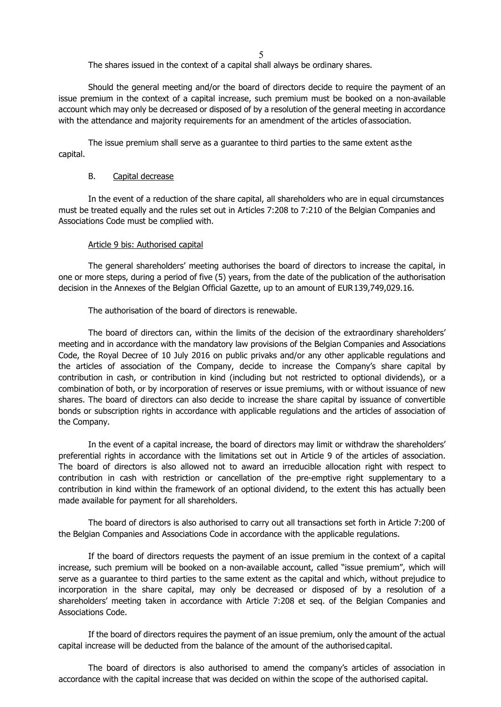5

The shares issued in the context of a capital shall always be ordinary shares.

Should the general meeting and/or the board of directors decide to require the payment of an issue premium in the context of a capital increase, such premium must be booked on a non-available account which may only be decreased or disposed of by a resolution of the general meeting in accordance with the attendance and majority requirements for an amendment of the articles ofassociation.

The issue premium shall serve as a guarantee to third parties to the same extent as the capital.

### B. Capital decrease

In the event of a reduction of the share capital, all shareholders who are in equal circumstances must be treated equally and the rules set out in Articles 7:208 to 7:210 of the Belgian Companies and Associations Code must be complied with.

### Article 9 bis: Authorised capital

The general shareholders' meeting authorises the board of directors to increase the capital, in one or more steps, during a period of five (5) years, from the date of the publication of the authorisation decision in the Annexes of the Belgian Official Gazette, up to an amount of EUR139,749,029.16.

The authorisation of the board of directors is renewable.

The board of directors can, within the limits of the decision of the extraordinary shareholders' meeting and in accordance with the mandatory law provisions of the Belgian Companies and Associations Code, the Royal Decree of 10 July 2016 on public privaks and/or any other applicable regulations and the articles of association of the Company, decide to increase the Company's share capital by contribution in cash, or contribution in kind (including but not restricted to optional dividends), or a combination of both, or by incorporation of reserves or issue premiums, with or without issuance of new shares. The board of directors can also decide to increase the share capital by issuance of convertible bonds or subscription rights in accordance with applicable regulations and the articles of association of the Company.

In the event of a capital increase, the board of directors may limit or withdraw the shareholders' preferential rights in accordance with the limitations set out in Article 9 of the articles of association. The board of directors is also allowed not to award an irreducible allocation right with respect to contribution in cash with restriction or cancellation of the pre-emptive right supplementary to a contribution in kind within the framework of an optional dividend, to the extent this has actually been made available for payment for all shareholders.

The board of directors is also authorised to carry out all transactions set forth in Article 7:200 of the Belgian Companies and Associations Code in accordance with the applicable regulations.

If the board of directors requests the payment of an issue premium in the context of a capital increase, such premium will be booked on a non-available account, called "issue premium", which will serve as a guarantee to third parties to the same extent as the capital and which, without prejudice to incorporation in the share capital, may only be decreased or disposed of by a resolution of a shareholders' meeting taken in accordance with Article 7:208 et seq. of the Belgian Companies and Associations Code.

If the board of directors requires the payment of an issue premium, only the amount of the actual capital increase will be deducted from the balance of the amount of the authorised capital.

The board of directors is also authorised to amend the company's articles of association in accordance with the capital increase that was decided on within the scope of the authorised capital.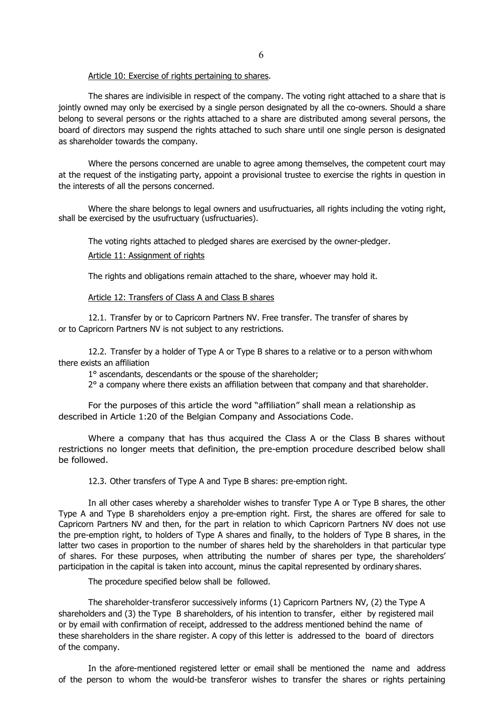Article 10: Exercise of rights pertaining to shares.

The shares are indivisible in respect of the company. The voting right attached to a share that is jointly owned may only be exercised by a single person designated by all the co-owners. Should a share belong to several persons or the rights attached to a share are distributed among several persons, the board of directors may suspend the rights attached to such share until one single person is designated as shareholder towards the company.

Where the persons concerned are unable to agree among themselves, the competent court may at the request of the instigating party, appoint a provisional trustee to exercise the rights in question in the interests of all the persons concerned.

Where the share belongs to legal owners and usufructuaries, all rights including the voting right, shall be exercised by the usufructuary (usfructuaries).

# The voting rights attached to pledged shares are exercised by the owner-pledger. Article 11: Assignment of rights

The rights and obligations remain attached to the share, whoever may hold it.

#### Article 12: Transfers of Class A and Class B shares

12.1. Transfer by or to Capricorn Partners NV. Free transfer. The transfer of shares by or to Capricorn Partners NV is not subject to any restrictions.

12.2. Transfer by a holder of Type A or Type B shares to a relative or to a person withwhom there exists an affiliation

1° ascendants, descendants or the spouse of the shareholder;

2° a company where there exists an affiliation between that company and that shareholder.

For the purposes of this article the word "affiliation" shall mean a relationship as described in Article 1:20 of the Belgian Company and Associations Code.

Where a company that has thus acquired the Class A or the Class B shares without restrictions no longer meets that definition, the pre-emption procedure described below shall be followed.

12.3. Other transfers of Type A and Type B shares: pre-emption right.

In all other cases whereby a shareholder wishes to transfer Type A or Type B shares, the other Type A and Type B shareholders enjoy a pre-emption right. First, the shares are offered for sale to Capricorn Partners NV and then, for the part in relation to which Capricorn Partners NV does not use the pre-emption right, to holders of Type A shares and finally, to the holders of Type B shares, in the latter two cases in proportion to the number of shares held by the shareholders in that particular type of shares. For these purposes, when attributing the number of shares per type, the shareholders' participation in the capital is taken into account, minus the capital represented by ordinary shares.

The procedure specified below shall be followed.

The shareholder-transferor successively informs (1) Capricorn Partners NV, (2) the Type A shareholders and (3) the Type B shareholders, of his intention to transfer, either by registered mail or by email with confirmation of receipt, addressed to the address mentioned behind the name of these shareholders in the share register. A copy of this letter is addressed to the board of directors of the company.

In the afore-mentioned registered letter or email shall be mentioned the name and address of the person to whom the would-be transferor wishes to transfer the shares or rights pertaining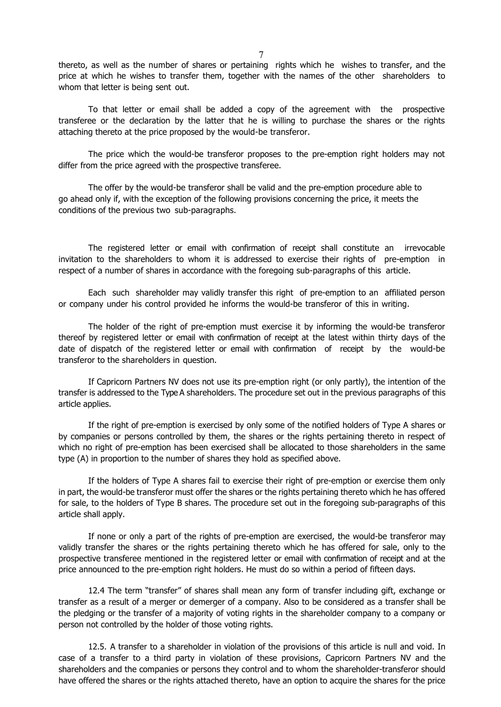thereto, as well as the number of shares or pertaining rights which he wishes to transfer, and the price at which he wishes to transfer them, together with the names of the other shareholders to whom that letter is being sent out.

To that letter or email shall be added a copy of the agreement with the prospective transferee or the declaration by the latter that he is willing to purchase the shares or the rights attaching thereto at the price proposed by the would-be transferor.

The price which the would-be transferor proposes to the pre-emption right holders may not differ from the price agreed with the prospective transferee.

The offer by the would-be transferor shall be valid and the pre-emption procedure able to go ahead only if, with the exception of the following provisions concerning the price, it meets the conditions of the previous two sub-paragraphs.

The registered letter or email with confirmation of receipt shall constitute an irrevocable invitation to the shareholders to whom it is addressed to exercise their rights of pre-emption in respect of a number of shares in accordance with the foregoing sub-paragraphs of this article.

Each such shareholder may validly transfer this right of pre-emption to an affiliated person or company under his control provided he informs the would-be transferor of this in writing.

The holder of the right of pre-emption must exercise it by informing the would-be transferor thereof by registered letter or email with confirmation of receipt at the latest within thirty days of the date of dispatch of the registered letter or email with confirmation of receipt by the would-be transferor to the shareholders in question.

If Capricorn Partners NV does not use its pre-emption right (or only partly), the intention of the transfer is addressed to the Type A shareholders. The procedure set out in the previous paragraphs of this article applies.

If the right of pre-emption is exercised by only some of the notified holders of Type A shares or by companies or persons controlled by them, the shares or the rights pertaining thereto in respect of which no right of pre-emption has been exercised shall be allocated to those shareholders in the same type (A) in proportion to the number of shares they hold as specified above.

If the holders of Type A shares fail to exercise their right of pre-emption or exercise them only in part, the would-be transferor must offer the shares or the rights pertaining thereto which he has offered for sale, to the holders of Type B shares. The procedure set out in the foregoing sub-paragraphs of this article shall apply.

If none or only a part of the rights of pre-emption are exercised, the would-be transferor may validly transfer the shares or the rights pertaining thereto which he has offered for sale, only to the prospective transferee mentioned in the registered letter or email with confirmation of receipt and at the price announced to the pre-emption right holders. He must do so within a period of fifteen days.

12.4 The term "transfer" of shares shall mean any form of transfer including gift, exchange or transfer as a result of a merger or demerger of a company. Also to be considered as a transfer shall be the pledging or the transfer of a majority of voting rights in the shareholder company to a company or person not controlled by the holder of those voting rights.

12.5. A transfer to a shareholder in violation of the provisions of this article is null and void. In case of a transfer to a third party in violation of these provisions, Capricorn Partners NV and the shareholders and the companies or persons they control and to whom the shareholder-transferor should have offered the shares or the rights attached thereto, have an option to acquire the shares for the price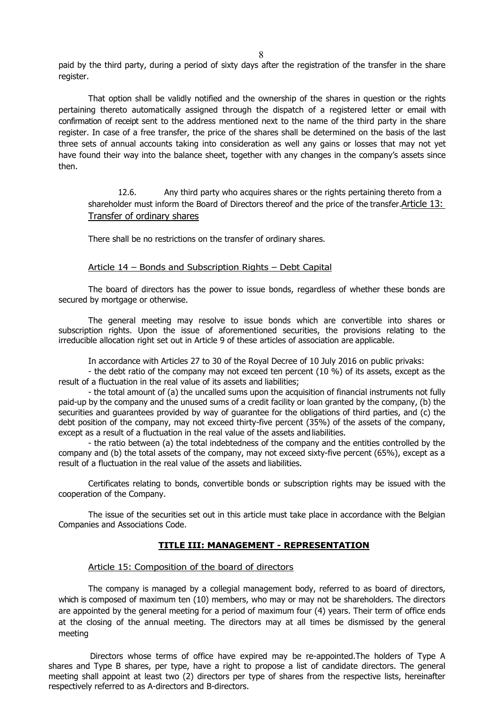paid by the third party, during a period of sixty days after the registration of the transfer in the share register.

That option shall be validly notified and the ownership of the shares in question or the rights pertaining thereto automatically assigned through the dispatch of a registered letter or email with confirmation of receipt sent to the address mentioned next to the name of the third party in the share register. In case of a free transfer, the price of the shares shall be determined on the basis of the last three sets of annual accounts taking into consideration as well any gains or losses that may not yet have found their way into the balance sheet, together with any changes in the company's assets since then.

12.6. Any third party who acquires shares or the rights pertaining thereto from a shareholder must inform the Board of Directors thereof and the price of the transfer.Article 13: Transfer of ordinary shares

There shall be no restrictions on the transfer of ordinary shares.

## Article 14 – Bonds and Subscription Rights – Debt Capital

The board of directors has the power to issue bonds, regardless of whether these bonds are secured by mortgage or otherwise.

The general meeting may resolve to issue bonds which are convertible into shares or subscription rights. Upon the issue of aforementioned securities, the provisions relating to the irreducible allocation right set out in Article 9 of these articles of association are applicable.

In accordance with Articles 27 to 30 of the Royal Decree of 10 July 2016 on public privaks:

- the debt ratio of the company may not exceed ten percent (10 %) of its assets, except as the result of a fluctuation in the real value of its assets and liabilities;

- the total amount of (a) the uncalled sums upon the acquisition of financial instruments not fully paid-up by the company and the unused sums of a credit facility or loan granted by the company, (b) the securities and guarantees provided by way of guarantee for the obligations of third parties, and (c) the debt position of the company, may not exceed thirty-five percent (35%) of the assets of the company, except as a result of a fluctuation in the real value of the assets andliabilities.

- the ratio between (a) the total indebtedness of the company and the entities controlled by the company and (b) the total assets of the company, may not exceed sixty-five percent (65%), except as a result of a fluctuation in the real value of the assets and liabilities.

Certificates relating to bonds, convertible bonds or subscription rights may be issued with the cooperation of the Company.

The issue of the securities set out in this article must take place in accordance with the Belgian Companies and Associations Code.

## **TITLE III: MANAGEMENT - REPRESENTATION**

### Article 15: Composition of the board of directors

The company is managed by a collegial management body, referred to as board of directors, which is composed of maximum ten (10) members, who may or may not be shareholders. The directors are appointed by the general meeting for a period of maximum four (4) years. Their term of office ends at the closing of the annual meeting. The directors may at all times be dismissed by the general meeting

Directors whose terms of office have expired may be re-appointed.The holders of Type A shares and Type B shares, per type, have a right to propose a list of candidate directors. The general meeting shall appoint at least two (2) directors per type of shares from the respective lists, hereinafter respectively referred to as A-directors and B-directors.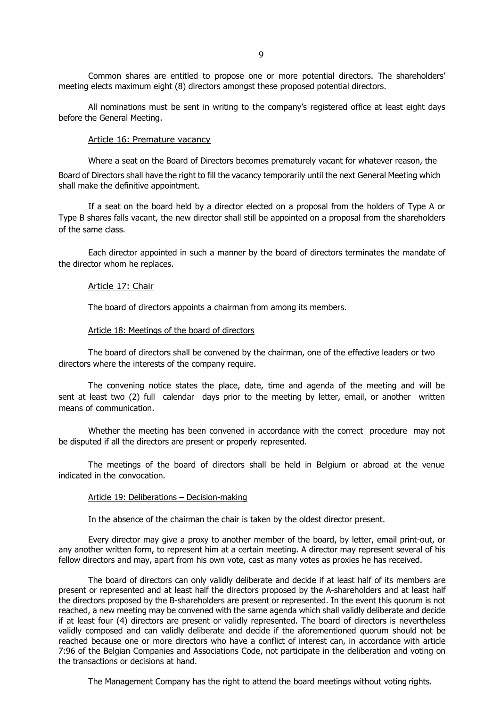Common shares are entitled to propose one or more potential directors. The shareholders' meeting elects maximum eight (8) directors amongst these proposed potential directors.

All nominations must be sent in writing to the company's registered office at least eight days before the General Meeting.

#### Article 16: Premature vacancy

Where a seat on the Board of Directors becomes prematurely vacant for whatever reason, the

Board of Directors shall have the right to fill the vacancy temporarily until the next General Meeting which shall make the definitive appointment.

If a seat on the board held by a director elected on a proposal from the holders of Type A or Type B shares falls vacant, the new director shall still be appointed on a proposal from the shareholders of the same class.

Each director appointed in such a manner by the board of directors terminates the mandate of the director whom he replaces.

#### Article 17: Chair

The board of directors appoints a chairman from among its members.

### Article 18: Meetings of the board of directors

The board of directors shall be convened by the chairman, one of the effective leaders or two directors where the interests of the company require.

The convening notice states the place, date, time and agenda of the meeting and will be sent at least two (2) full calendar days prior to the meeting by letter, email, or another written means of communication.

Whether the meeting has been convened in accordance with the correct procedure may not be disputed if all the directors are present or properly represented.

The meetings of the board of directors shall be held in Belgium or abroad at the venue indicated in the convocation.

#### Article 19: Deliberations – Decision-making

In the absence of the chairman the chair is taken by the oldest director present.

Every director may give a proxy to another member of the board, by letter, email print-out, or any another written form, to represent him at a certain meeting. A director may represent several of his fellow directors and may, apart from his own vote, cast as many votes as proxies he has received.

The board of directors can only validly deliberate and decide if at least half of its members are present or represented and at least half the directors proposed by the A-shareholders and at least half the directors proposed by the B-shareholders are present or represented. In the event this quorum is not reached, a new meeting may be convened with the same agenda which shall validly deliberate and decide if at least four (4) directors are present or validly represented. The board of directors is nevertheless validly composed and can validly deliberate and decide if the aforementioned quorum should not be reached because one or more directors who have a conflict of interest can, in accordance with article 7:96 of the Belgian Companies and Associations Code, not participate in the deliberation and voting on the transactions or decisions at hand.

The Management Company has the right to attend the board meetings without voting rights.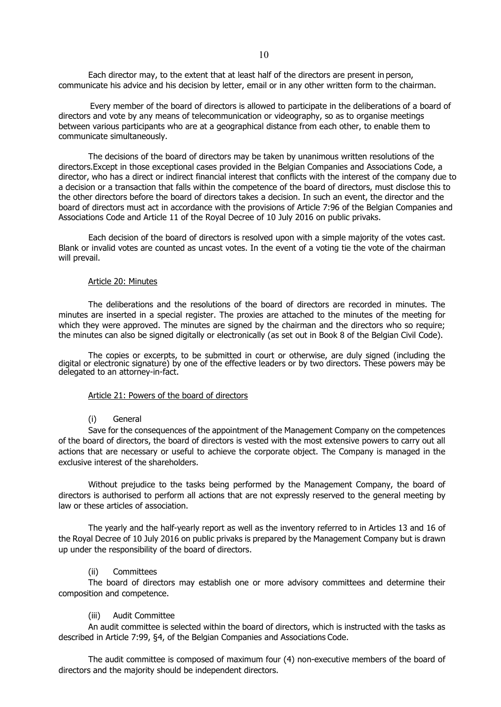Each director may, to the extent that at least half of the directors are present in person, communicate his advice and his decision by letter, email or in any other written form to the chairman.

Every member of the board of directors is allowed to participate in the deliberations of a board of directors and vote by any means of telecommunication or videography, so as to organise meetings between various participants who are at a geographical distance from each other, to enable them to communicate simultaneously.

The decisions of the board of directors may be taken by unanimous written resolutions of the directors.Except in those exceptional cases provided in the Belgian Companies and Associations Code, a director, who has a direct or indirect financial interest that conflicts with the interest of the company due to a decision or a transaction that falls within the competence of the board of directors, must disclose this to the other directors before the board of directors takes a decision. In such an event, the director and the board of directors must act in accordance with the provisions of Article 7:96 of the Belgian Companies and Associations Code and Article 11 of the Royal Decree of 10 July 2016 on public privaks.

Each decision of the board of directors is resolved upon with a simple majority of the votes cast. Blank or invalid votes are counted as uncast votes. In the event of a voting tie the vote of the chairman will prevail.

#### Article 20: Minutes

The deliberations and the resolutions of the board of directors are recorded in minutes. The minutes are inserted in a special register. The proxies are attached to the minutes of the meeting for which they were approved. The minutes are signed by the chairman and the directors who so require; the minutes can also be signed digitally or electronically (as set out in Book 8 of the Belgian Civil Code).

The copies or excerpts, to be submitted in court or otherwise, are duly signed (including the digital or electronic signature) by one of the effective leaders or by two directors. These powers may be delegated to an attorney-in-fact.

### Article 21: Powers of the board of directors

### (i) General

Save for the consequences of the appointment of the Management Company on the competences of the board of directors, the board of directors is vested with the most extensive powers to carry out all actions that are necessary or useful to achieve the corporate object. The Company is managed in the exclusive interest of the shareholders.

Without prejudice to the tasks being performed by the Management Company, the board of directors is authorised to perform all actions that are not expressly reserved to the general meeting by law or these articles of association.

The yearly and the half-yearly report as well as the inventory referred to in Articles 13 and 16 of the Royal Decree of 10 July 2016 on public privaks is prepared by the Management Company but is drawn up under the responsibility of the board of directors.

### (ii) Committees

The board of directors may establish one or more advisory committees and determine their composition and competence.

#### (iii) Audit Committee

An audit committee is selected within the board of directors, which is instructed with the tasks as described in Article 7:99, §4, of the Belgian Companies and Associations Code.

The audit committee is composed of maximum four (4) non-executive members of the board of directors and the majority should be independent directors.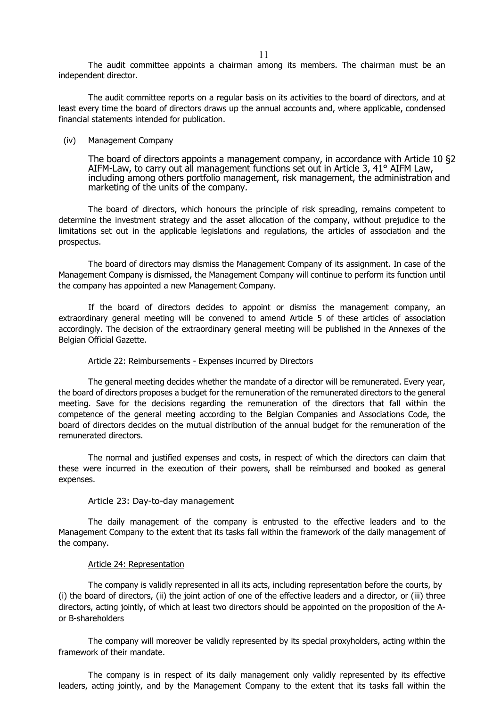The audit committee appoints a chairman among its members. The chairman must be an independent director.

The audit committee reports on a regular basis on its activities to the board of directors, and at least every time the board of directors draws up the annual accounts and, where applicable, condensed financial statements intended for publication.

#### (iv) Management Company

The board of directors appoints a management company, in accordance with Article 10 §2 AIFM-Law, to carry out all management functions set out in Article 3, 41° AIFM Law, including among others portfolio management, risk management, the administration and marketing of the units of the company.

The board of directors, which honours the principle of risk spreading, remains competent to determine the investment strategy and the asset allocation of the company, without prejudice to the limitations set out in the applicable legislations and regulations, the articles of association and the prospectus.

The board of directors may dismiss the Management Company of its assignment. In case of the Management Company is dismissed, the Management Company will continue to perform its function until the company has appointed a new Management Company.

If the board of directors decides to appoint or dismiss the management company, an extraordinary general meeting will be convened to amend Article 5 of these articles of association accordingly. The decision of the extraordinary general meeting will be published in the Annexes of the Belgian Official Gazette.

### Article 22: Reimbursements - Expenses incurred by Directors

The general meeting decides whether the mandate of a director will be remunerated. Every year, the board of directors proposes a budget for the remuneration of the remunerated directors to the general meeting. Save for the decisions regarding the remuneration of the directors that fall within the competence of the general meeting according to the Belgian Companies and Associations Code, the board of directors decides on the mutual distribution of the annual budget for the remuneration of the remunerated directors.

The normal and justified expenses and costs, in respect of which the directors can claim that these were incurred in the execution of their powers, shall be reimbursed and booked as general expenses.

### Article 23: Day-to-day management

The daily management of the company is entrusted to the effective leaders and to the Management Company to the extent that its tasks fall within the framework of the daily management of the company.

### Article 24: Representation

The company is validly represented in all its acts, including representation before the courts, by (i) the board of directors, (ii) the joint action of one of the effective leaders and a director, or (iii) three directors, acting jointly, of which at least two directors should be appointed on the proposition of the Aor B-shareholders

The company will moreover be validly represented by its special proxyholders, acting within the framework of their mandate.

The company is in respect of its daily management only validly represented by its effective leaders, acting jointly, and by the Management Company to the extent that its tasks fall within the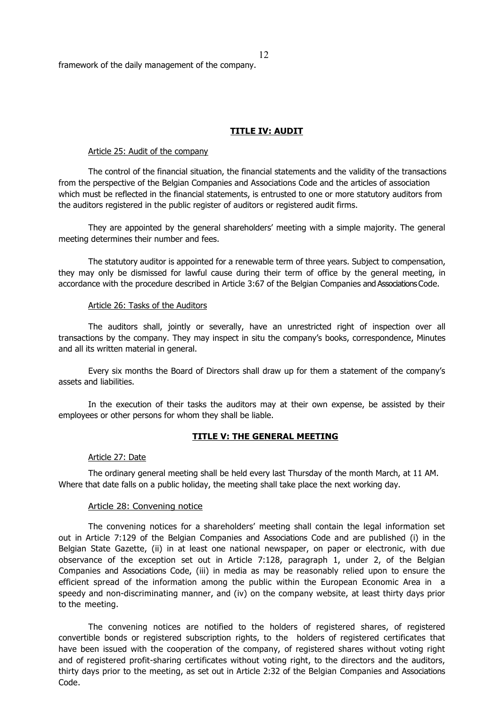framework of the daily management of the company.

### **TITLE IV: AUDIT**

#### Article 25: Audit of the company

The control of the financial situation, the financial statements and the validity of the transactions from the perspective of the Belgian Companies and Associations Code and the articles of association which must be reflected in the financial statements, is entrusted to one or more statutory auditors from the auditors registered in the public register of auditors or registered audit firms.

They are appointed by the general shareholders' meeting with a simple majority. The general meeting determines their number and fees.

The statutory auditor is appointed for a renewable term of three years. Subject to compensation, they may only be dismissed for lawful cause during their term of office by the general meeting, in accordance with the procedure described in Article 3:67 of the Belgian Companies and Associations Code.

#### Article 26: Tasks of the Auditors

The auditors shall, jointly or severally, have an unrestricted right of inspection over all transactions by the company. They may inspect in situ the company's books, correspondence, Minutes and all its written material in general.

Every six months the Board of Directors shall draw up for them a statement of the company's assets and liabilities.

In the execution of their tasks the auditors may at their own expense, be assisted by their employees or other persons for whom they shall be liable.

### **TITLE V: THE GENERAL MEETING**

#### Article 27: Date

The ordinary general meeting shall be held every last Thursday of the month March, at 11 AM. Where that date falls on a public holiday, the meeting shall take place the next working day.

#### Article 28: Convening notice

The convening notices for a shareholders' meeting shall contain the legal information set out in Article 7:129 of the Belgian Companies and Associations Code and are published (i) in the Belgian State Gazette, (ii) in at least one national newspaper, on paper or electronic, with due observance of the exception set out in Article 7:128, paragraph 1, under 2, of the Belgian Companies and Associations Code, (iii) in media as may be reasonably relied upon to ensure the efficient spread of the information among the public within the European Economic Area in a speedy and non-discriminating manner, and (iv) on the company website, at least thirty days prior to the meeting.

The convening notices are notified to the holders of registered shares, of registered convertible bonds or registered subscription rights, to the holders of registered certificates that have been issued with the cooperation of the company, of registered shares without voting right and of registered profit-sharing certificates without voting right, to the directors and the auditors, thirty days prior to the meeting, as set out in Article 2:32 of the Belgian Companies and Associations Code.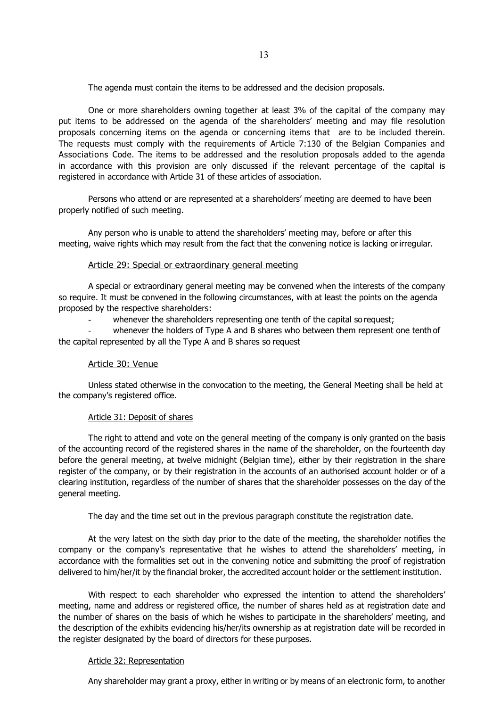The agenda must contain the items to be addressed and the decision proposals.

One or more shareholders owning together at least 3% of the capital of the company may put items to be addressed on the agenda of the shareholders' meeting and may file resolution proposals concerning items on the agenda or concerning items that are to be included therein. The requests must comply with the requirements of Article 7:130 of the Belgian Companies and Associations Code. The items to be addressed and the resolution proposals added to the agenda in accordance with this provision are only discussed if the relevant percentage of the capital is registered in accordance with Article 31 of these articles of association.

Persons who attend or are represented at a shareholders' meeting are deemed to have been properly notified of such meeting.

Any person who is unable to attend the shareholders' meeting may, before or after this meeting, waive rights which may result from the fact that the convening notice is lacking orirregular.

### Article 29: Special or extraordinary general meeting

A special or extraordinary general meeting may be convened when the interests of the company so require. It must be convened in the following circumstances, with at least the points on the agenda proposed by the respective shareholders:

whenever the shareholders representing one tenth of the capital so request;

whenever the holders of Type A and B shares who between them represent one tenth of the capital represented by all the Type A and B shares so request

### Article 30: Venue

Unless stated otherwise in the convocation to the meeting, the General Meeting shall be held at the company's registered office.

### Article 31: Deposit of shares

The right to attend and vote on the general meeting of the company is only granted on the basis of the accounting record of the registered shares in the name of the shareholder, on the fourteenth day before the general meeting, at twelve midnight (Belgian time), either by their registration in the share register of the company, or by their registration in the accounts of an authorised account holder or of a clearing institution, regardless of the number of shares that the shareholder possesses on the day of the general meeting.

The day and the time set out in the previous paragraph constitute the registration date.

At the very latest on the sixth day prior to the date of the meeting, the shareholder notifies the company or the company's representative that he wishes to attend the shareholders' meeting, in accordance with the formalities set out in the convening notice and submitting the proof of registration delivered to him/her/it by the financial broker, the accredited account holder or the settlement institution.

With respect to each shareholder who expressed the intention to attend the shareholders' meeting, name and address or registered office, the number of shares held as at registration date and the number of shares on the basis of which he wishes to participate in the shareholders' meeting, and the description of the exhibits evidencing his/her/its ownership as at registration date will be recorded in the register designated by the board of directors for these purposes.

## Article 32: Representation

Any shareholder may grant a proxy, either in writing or by means of an electronic form, to another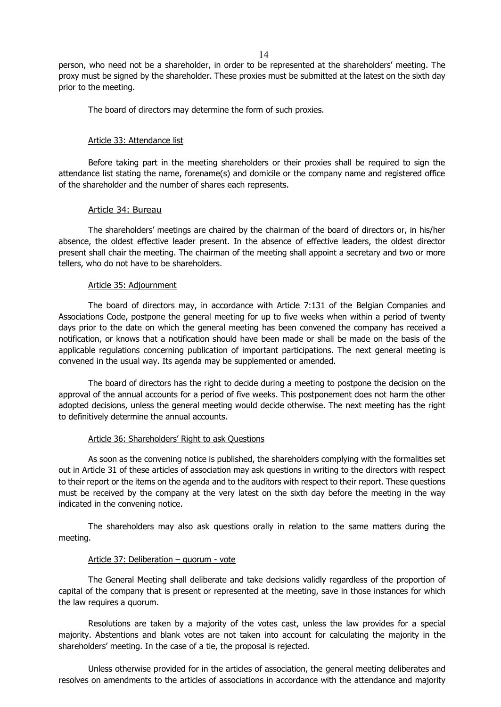person, who need not be a shareholder, in order to be represented at the shareholders' meeting. The proxy must be signed by the shareholder. These proxies must be submitted at the latest on the sixth day prior to the meeting.

The board of directors may determine the form of such proxies.

#### Article 33: Attendance list

Before taking part in the meeting shareholders or their proxies shall be required to sign the attendance list stating the name, forename(s) and domicile or the company name and registered office of the shareholder and the number of shares each represents.

### Article 34: Bureau

The shareholders' meetings are chaired by the chairman of the board of directors or, in his/her absence, the oldest effective leader present. In the absence of effective leaders, the oldest director present shall chair the meeting. The chairman of the meeting shall appoint a secretary and two or more tellers, who do not have to be shareholders.

#### Article 35: Adjournment

The board of directors may, in accordance with Article 7:131 of the Belgian Companies and Associations Code, postpone the general meeting for up to five weeks when within a period of twenty days prior to the date on which the general meeting has been convened the company has received a notification, or knows that a notification should have been made or shall be made on the basis of the applicable regulations concerning publication of important participations. The next general meeting is convened in the usual way. Its agenda may be supplemented or amended.

The board of directors has the right to decide during a meeting to postpone the decision on the approval of the annual accounts for a period of five weeks. This postponement does not harm the other adopted decisions, unless the general meeting would decide otherwise. The next meeting has the right to definitively determine the annual accounts.

### Article 36: Shareholders' Right to ask Questions

As soon as the convening notice is published, the shareholders complying with the formalities set out in Article 31 of these articles of association may ask questions in writing to the directors with respect to their report or the items on the agenda and to the auditors with respect to their report. These questions must be received by the company at the very latest on the sixth day before the meeting in the way indicated in the convening notice.

The shareholders may also ask questions orally in relation to the same matters during the meeting.

#### Article 37: Deliberation – quorum - vote

The General Meeting shall deliberate and take decisions validly regardless of the proportion of capital of the company that is present or represented at the meeting, save in those instances for which the law requires a quorum.

Resolutions are taken by a majority of the votes cast, unless the law provides for a special majority. Abstentions and blank votes are not taken into account for calculating the majority in the shareholders' meeting. In the case of a tie, the proposal is rejected.

Unless otherwise provided for in the articles of association, the general meeting deliberates and resolves on amendments to the articles of associations in accordance with the attendance and majority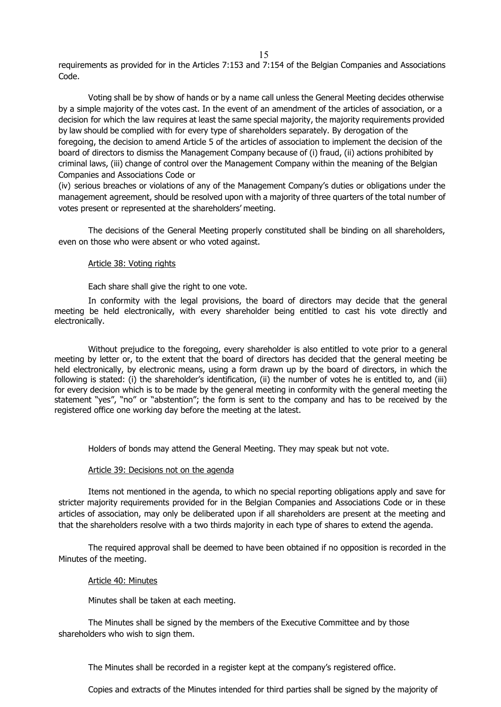requirements as provided for in the Articles 7:153 and 7:154 of the Belgian Companies and Associations Code.

Voting shall be by show of hands or by a name call unless the General Meeting decides otherwise by a simple majority of the votes cast. In the event of an amendment of the articles of association, or a decision for which the law requires at least the same special majority, the majority requirements provided by law should be complied with for every type of shareholders separately. By derogation of the foregoing, the decision to amend Article 5 of the articles of association to implement the decision of the board of directors to dismiss the Management Company because of (i) fraud, (ii) actions prohibited by criminal laws, (iii) change of control over the Management Company within the meaning of the Belgian Companies and Associations Code or

(iv) serious breaches or violations of any of the Management Company's duties or obligations under the management agreement, should be resolved upon with a majority of three quarters of the total number of votes present or represented at the shareholders' meeting.

The decisions of the General Meeting properly constituted shall be binding on all shareholders, even on those who were absent or who voted against.

### Article 38: Voting rights

Each share shall give the right to one vote.

In conformity with the legal provisions, the board of directors may decide that the general meeting be held electronically, with every shareholder being entitled to cast his vote directly and electronically.

Without prejudice to the foregoing, every shareholder is also entitled to vote prior to a general meeting by letter or, to the extent that the board of directors has decided that the general meeting be held electronically, by electronic means, using a form drawn up by the board of directors, in which the following is stated: (i) the shareholder's identification, (ii) the number of votes he is entitled to, and (iii) for every decision which is to be made by the general meeting in conformity with the general meeting the statement "yes", "no" or "abstention"; the form is sent to the company and has to be received by the registered office one working day before the meeting at the latest.

Holders of bonds may attend the General Meeting. They may speak but not vote.

### Article 39: Decisions not on the agenda

Items not mentioned in the agenda, to which no special reporting obligations apply and save for stricter majority requirements provided for in the Belgian Companies and Associations Code or in these articles of association, may only be deliberated upon if all shareholders are present at the meeting and that the shareholders resolve with a two thirds majority in each type of shares to extend the agenda.

The required approval shall be deemed to have been obtained if no opposition is recorded in the Minutes of the meeting.

### Article 40: Minutes

Minutes shall be taken at each meeting.

The Minutes shall be signed by the members of the Executive Committee and by those shareholders who wish to sign them.

The Minutes shall be recorded in a register kept at the company's registered office.

Copies and extracts of the Minutes intended for third parties shall be signed by the majority of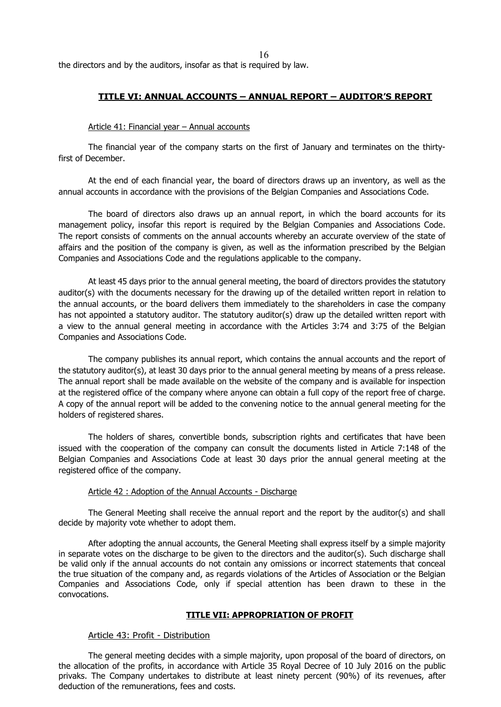the directors and by the auditors, insofar as that is required by law.

### **TITLE VI: ANNUAL ACCOUNTS – ANNUAL REPORT – AUDITOR'S REPORT**

#### Article 41: Financial year – Annual accounts

The financial year of the company starts on the first of January and terminates on the thirtyfirst of December.

At the end of each financial year, the board of directors draws up an inventory, as well as the annual accounts in accordance with the provisions of the Belgian Companies and Associations Code.

The board of directors also draws up an annual report, in which the board accounts for its management policy, insofar this report is required by the Belgian Companies and Associations Code. The report consists of comments on the annual accounts whereby an accurate overview of the state of affairs and the position of the company is given, as well as the information prescribed by the Belgian Companies and Associations Code and the regulations applicable to the company.

At least 45 days prior to the annual general meeting, the board of directors provides the statutory auditor(s) with the documents necessary for the drawing up of the detailed written report in relation to the annual accounts, or the board delivers them immediately to the shareholders in case the company has not appointed a statutory auditor. The statutory auditor(s) draw up the detailed written report with a view to the annual general meeting in accordance with the Articles 3:74 and 3:75 of the Belgian Companies and Associations Code.

The company publishes its annual report, which contains the annual accounts and the report of the statutory auditor(s), at least 30 days prior to the annual general meeting by means of a press release. The annual report shall be made available on the website of the company and is available for inspection at the registered office of the company where anyone can obtain a full copy of the report free of charge. A copy of the annual report will be added to the convening notice to the annual general meeting for the holders of registered shares.

The holders of shares, convertible bonds, subscription rights and certificates that have been issued with the cooperation of the company can consult the documents listed in Article 7:148 of the Belgian Companies and Associations Code at least 30 days prior the annual general meeting at the registered office of the company.

#### Article 42 : Adoption of the Annual Accounts - Discharge

The General Meeting shall receive the annual report and the report by the auditor(s) and shall decide by majority vote whether to adopt them.

After adopting the annual accounts, the General Meeting shall express itself by a simple majority in separate votes on the discharge to be given to the directors and the auditor(s). Such discharge shall be valid only if the annual accounts do not contain any omissions or incorrect statements that conceal the true situation of the company and, as regards violations of the Articles of Association or the Belgian Companies and Associations Code, only if special attention has been drawn to these in the convocations.

### **TITLE VII: APPROPRIATION OF PROFIT**

#### Article 43: Profit - Distribution

The general meeting decides with a simple majority, upon proposal of the board of directors, on the allocation of the profits, in accordance with Article 35 Royal Decree of 10 July 2016 on the public privaks. The Company undertakes to distribute at least ninety percent (90%) of its revenues, after deduction of the remunerations, fees and costs.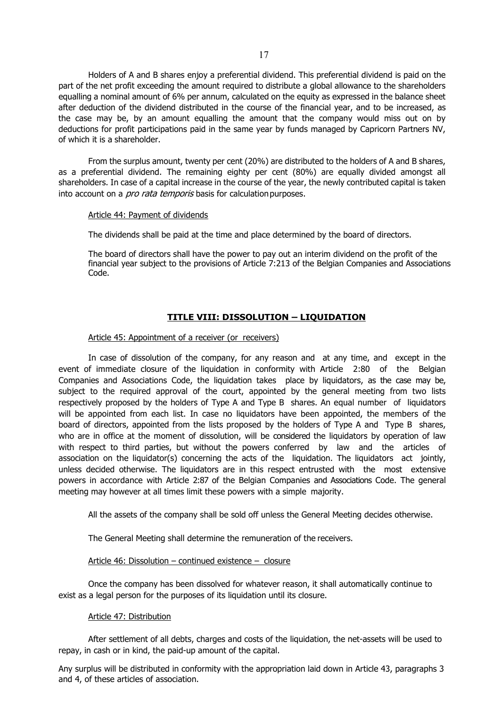Holders of A and B shares enjoy a preferential dividend. This preferential dividend is paid on the part of the net profit exceeding the amount required to distribute a global allowance to the shareholders equalling a nominal amount of 6% per annum, calculated on the equity as expressed in the balance sheet after deduction of the dividend distributed in the course of the financial year, and to be increased, as the case may be, by an amount equalling the amount that the company would miss out on by deductions for profit participations paid in the same year by funds managed by Capricorn Partners NV, of which it is a shareholder.

From the surplus amount, twenty per cent (20%) are distributed to the holders of A and B shares, as a preferential dividend. The remaining eighty per cent (80%) are equally divided amongst all shareholders. In case of a capital increase in the course of the year, the newly contributed capital is taken into account on a *pro rata temporis* basis for calculation purposes.

### Article 44: Payment of dividends

The dividends shall be paid at the time and place determined by the board of directors.

The board of directors shall have the power to pay out an interim dividend on the profit of the financial year subject to the provisions of Article 7:213 of the Belgian Companies and Associations Code.

# **TITLE VIII: DISSOLUTION – LIQUIDATION**

### Article 45: Appointment of a receiver (or receivers)

In case of dissolution of the company, for any reason and at any time, and except in the event of immediate closure of the liquidation in conformity with Article 2:80 of the Belgian Companies and Associations Code, the liquidation takes place by liquidators, as the case may be, subject to the required approval of the court, appointed by the general meeting from two lists respectively proposed by the holders of Type A and Type B shares. An equal number of liquidators will be appointed from each list. In case no liquidators have been appointed, the members of the board of directors, appointed from the lists proposed by the holders of Type A and Type B shares, who are in office at the moment of dissolution, will be considered the liquidators by operation of law with respect to third parties, but without the powers conferred by law and the articles of association on the liquidator(s) concerning the acts of the liquidation. The liquidators act jointly, unless decided otherwise. The liquidators are in this respect entrusted with the most extensive powers in accordance with Article 2:87 of the Belgian Companies and Associations Code. The general meeting may however at all times limit these powers with a simple majority.

All the assets of the company shall be sold off unless the General Meeting decides otherwise.

The General Meeting shall determine the remuneration of the receivers.

### Article 46: Dissolution – continued existence – closure

Once the company has been dissolved for whatever reason, it shall automatically continue to exist as a legal person for the purposes of its liquidation until its closure.

### Article 47: Distribution

After settlement of all debts, charges and costs of the liquidation, the net-assets will be used to repay, in cash or in kind, the paid-up amount of the capital.

Any surplus will be distributed in conformity with the appropriation laid down in Article 43, paragraphs 3 and 4, of these articles of association.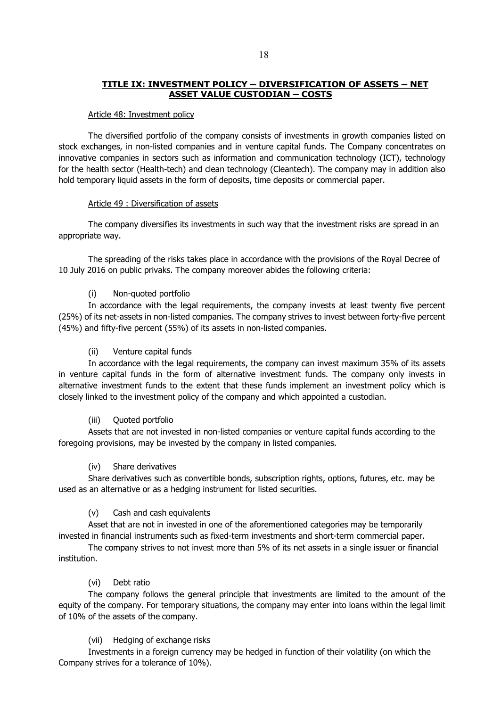## **TITLE IX: INVESTMENT POLICY – DIVERSIFICATION OF ASSETS – NET ASSET VALUE CUSTODIAN – COSTS**

## Article 48: Investment policy

The diversified portfolio of the company consists of investments in growth companies listed on stock exchanges, in non-listed companies and in venture capital funds. The Company concentrates on innovative companies in sectors such as information and communication technology (ICT), technology for the health sector (Health-tech) and clean technology (Cleantech). The company may in addition also hold temporary liquid assets in the form of deposits, time deposits or commercial paper.

## Article 49 : Diversification of assets

The company diversifies its investments in such way that the investment risks are spread in an appropriate way.

The spreading of the risks takes place in accordance with the provisions of the Royal Decree of 10 July 2016 on public privaks. The company moreover abides the following criteria:

## (i) Non-quoted portfolio

In accordance with the legal requirements, the company invests at least twenty five percent (25%) of its net-assets in non-listed companies. The company strives to invest between forty-five percent (45%) and fifty-five percent (55%) of its assets in non-listed companies.

## (ii) Venture capital funds

In accordance with the legal requirements, the company can invest maximum 35% of its assets in venture capital funds in the form of alternative investment funds. The company only invests in alternative investment funds to the extent that these funds implement an investment policy which is closely linked to the investment policy of the company and which appointed a custodian.

## (iii) Quoted portfolio

Assets that are not invested in non-listed companies or venture capital funds according to the foregoing provisions, may be invested by the company in listed companies.

## (iv) Share derivatives

Share derivatives such as convertible bonds, subscription rights, options, futures, etc. may be used as an alternative or as a hedging instrument for listed securities.

## (v) Cash and cash equivalents

Asset that are not in invested in one of the aforementioned categories may be temporarily invested in financial instruments such as fixed-term investments and short-term commercial paper.

The company strives to not invest more than 5% of its net assets in a single issuer or financial institution.

## (vi) Debt ratio

The company follows the general principle that investments are limited to the amount of the equity of the company. For temporary situations, the company may enter into loans within the legal limit of 10% of the assets of the company.

## (vii) Hedging of exchange risks

Investments in a foreign currency may be hedged in function of their volatility (on which the Company strives for a tolerance of 10%).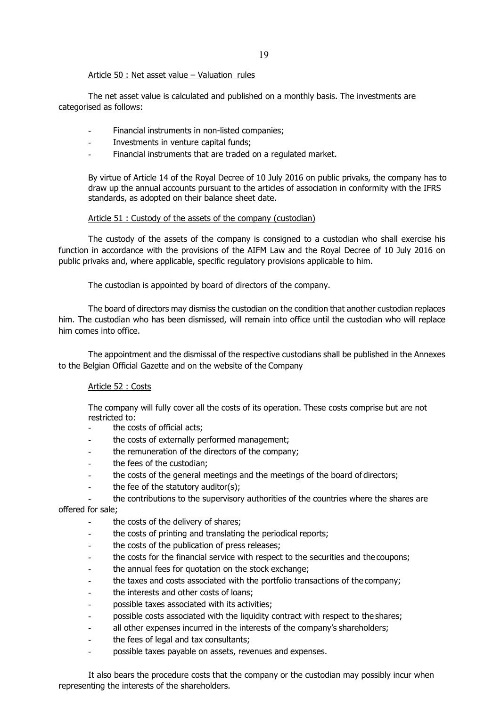## Article 50 : Net asset value – Valuation rules

The net asset value is calculated and published on a monthly basis. The investments are categorised as follows:

- Financial instruments in non-listed companies;
- Investments in venture capital funds;
- Financial instruments that are traded on a regulated market.

By virtue of Article 14 of the Royal Decree of 10 July 2016 on public privaks, the company has to draw up the annual accounts pursuant to the articles of association in conformity with the IFRS standards, as adopted on their balance sheet date.

## Article 51 : Custody of the assets of the company (custodian)

The custody of the assets of the company is consigned to a custodian who shall exercise his function in accordance with the provisions of the AIFM Law and the Royal Decree of 10 July 2016 on public privaks and, where applicable, specific regulatory provisions applicable to him.

The custodian is appointed by board of directors of the company.

The board of directors may dismiss the custodian on the condition that another custodian replaces him. The custodian who has been dismissed, will remain into office until the custodian who will replace him comes into office.

The appointment and the dismissal of the respective custodians shall be published in the Annexes to the Belgian Official Gazette and on the website of the Company

## Article 52 : Costs

The company will fully cover all the costs of its operation. These costs comprise but are not restricted to:

- the costs of official acts;
- the costs of externally performed management;
- the remuneration of the directors of the company;
- the fees of the custodian;
- the costs of the general meetings and the meetings of the board of directors;
- the fee of the statutory auditor(s);
- the contributions to the supervisory authorities of the countries where the shares are

# offered for sale;

- the costs of the delivery of shares;
- the costs of printing and translating the periodical reports;
- the costs of the publication of press releases;
- the costs for the financial service with respect to the securities and the coupons;
- the annual fees for quotation on the stock exchange;
- the taxes and costs associated with the portfolio transactions of the company;
- the interests and other costs of loans;
- possible taxes associated with its activities;
- possible costs associated with the liquidity contract with respect to the shares;
- all other expenses incurred in the interests of the company's shareholders;
- the fees of legal and tax consultants;
- possible taxes payable on assets, revenues and expenses.

It also bears the procedure costs that the company or the custodian may possibly incur when representing the interests of the shareholders.